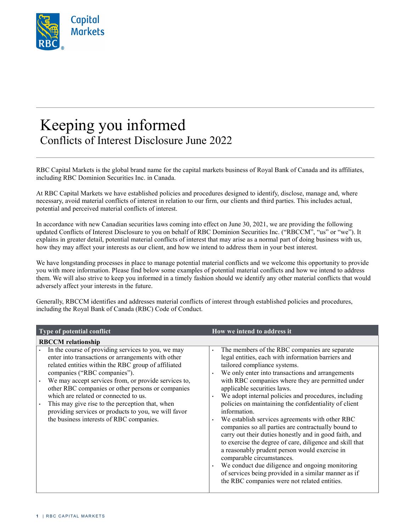

## Keeping you informed Conflicts of Interest Disclosure June 2022

RBC Capital Markets is the global brand name for the capital markets business of Royal Bank of Canada and its affiliates, including RBC Dominion Securities Inc. in Canada.

At RBC Capital Markets we have established policies and procedures designed to identify, disclose, manage and, where necessary, avoid material conflicts of interest in relation to our firm, our clients and third parties. This includes actual, potential and perceived material conflicts of interest.

In accordance with new Canadian securities laws coming into effect on June 30, 2021, we are providing the following updated Conflicts of Interest Disclosure to you on behalf of RBC Dominion Securities Inc. ("RBCCM", "us" or "we"). It explains in greater detail, potential material conflicts of interest that may arise as a normal part of doing business with us, how they may affect your interests as our client, and how we intend to address them in your best interest.

We have longstanding processes in place to manage potential material conflicts and we welcome this opportunity to provide you with more information. Please find below some examples of potential material conflicts and how we intend to address them. We will also strive to keep you informed in a timely fashion should we identify any other material conflicts that would adversely affect your interests in the future.

Generally, RBCCM identifies and addresses material conflicts of interest through established policies and procedures, including the Royal Bank of Canada (RBC) Code of Conduct.

| Type of potential conflict                                                                                                                                                                                                                                                                                                                                                                                                                                                                                   | How we intend to address it                                                                                                                                                                                                                                                                                                                                                                                                                                                                                                                                                                                                                                                                                                                                                                                                                                                                                                                            |
|--------------------------------------------------------------------------------------------------------------------------------------------------------------------------------------------------------------------------------------------------------------------------------------------------------------------------------------------------------------------------------------------------------------------------------------------------------------------------------------------------------------|--------------------------------------------------------------------------------------------------------------------------------------------------------------------------------------------------------------------------------------------------------------------------------------------------------------------------------------------------------------------------------------------------------------------------------------------------------------------------------------------------------------------------------------------------------------------------------------------------------------------------------------------------------------------------------------------------------------------------------------------------------------------------------------------------------------------------------------------------------------------------------------------------------------------------------------------------------|
| <b>RBCCM</b> relationship                                                                                                                                                                                                                                                                                                                                                                                                                                                                                    |                                                                                                                                                                                                                                                                                                                                                                                                                                                                                                                                                                                                                                                                                                                                                                                                                                                                                                                                                        |
| In the course of providing services to you, we may<br>enter into transactions or arrangements with other<br>related entities within the RBC group of affiliated<br>companies ("RBC companies").<br>We may accept services from, or provide services to,<br>other RBC companies or other persons or companies<br>which are related or connected to us.<br>This may give rise to the perception that, when<br>providing services or products to you, we will favor<br>the business interests of RBC companies. | The members of the RBC companies are separate<br>$\bullet$<br>legal entities, each with information barriers and<br>tailored compliance systems.<br>We only enter into transactions and arrangements<br>$\bullet$<br>with RBC companies where they are permitted under<br>applicable securities laws.<br>We adopt internal policies and procedures, including<br>$\bullet$<br>policies on maintaining the confidentiality of client<br>information.<br>We establish services agreements with other RBC<br>$\bullet$<br>companies so all parties are contractually bound to<br>carry out their duties honestly and in good faith, and<br>to exercise the degree of care, diligence and skill that<br>a reasonably prudent person would exercise in<br>comparable circumstances.<br>We conduct due diligence and ongoing monitoring<br>$\bullet$<br>of services being provided in a similar manner as if<br>the RBC companies were not related entities. |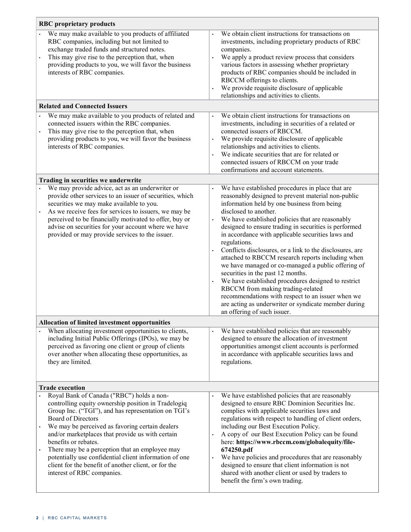| <b>RBC</b> proprietary products                                                                                                                                                                                                                                                                                                                                                                                                                                                                                       |                                                                                                                                                                                                                                                                                                                                                                                                                                                                                                                                                                                                                                                                                                                                                                                                                      |  |
|-----------------------------------------------------------------------------------------------------------------------------------------------------------------------------------------------------------------------------------------------------------------------------------------------------------------------------------------------------------------------------------------------------------------------------------------------------------------------------------------------------------------------|----------------------------------------------------------------------------------------------------------------------------------------------------------------------------------------------------------------------------------------------------------------------------------------------------------------------------------------------------------------------------------------------------------------------------------------------------------------------------------------------------------------------------------------------------------------------------------------------------------------------------------------------------------------------------------------------------------------------------------------------------------------------------------------------------------------------|--|
| We may make available to you products of affiliated<br>RBC companies, including but not limited to<br>exchange traded funds and structured notes.<br>This may give rise to the perception that, when<br>providing products to you, we will favor the business<br>interests of RBC companies.                                                                                                                                                                                                                          | We obtain client instructions for transactions on<br>investments, including proprietary products of RBC<br>companies.<br>We apply a product review process that considers<br>various factors in assessing whether proprietary<br>products of RBC companies should be included in<br>RBCCM offerings to clients.<br>We provide requisite disclosure of applicable<br>relationships and activities to clients.                                                                                                                                                                                                                                                                                                                                                                                                         |  |
| <b>Related and Connected Issuers</b>                                                                                                                                                                                                                                                                                                                                                                                                                                                                                  |                                                                                                                                                                                                                                                                                                                                                                                                                                                                                                                                                                                                                                                                                                                                                                                                                      |  |
| We may make available to you products of related and<br>connected issuers within the RBC companies.<br>This may give rise to the perception that, when<br>providing products to you, we will favor the business<br>interests of RBC companies.                                                                                                                                                                                                                                                                        | We obtain client instructions for transactions on<br>investments, including in securities of a related or<br>connected issuers of RBCCM.<br>We provide requisite disclosure of applicable<br>relationships and activities to clients.<br>We indicate securities that are for related or<br>connected issuers of RBCCM on your trade<br>confirmations and account statements.                                                                                                                                                                                                                                                                                                                                                                                                                                         |  |
| Trading in securities we underwrite                                                                                                                                                                                                                                                                                                                                                                                                                                                                                   |                                                                                                                                                                                                                                                                                                                                                                                                                                                                                                                                                                                                                                                                                                                                                                                                                      |  |
| We may provide advice, act as an underwriter or<br>provide other services to an issuer of securities, which<br>securities we may make available to you.<br>As we receive fees for services to issuers, we may be<br>perceived to be financially motivated to offer, buy or<br>advise on securities for your account where we have<br>provided or may provide services to the issuer.                                                                                                                                  | We have established procedures in place that are<br>reasonably designed to prevent material non-public<br>information held by one business from being<br>disclosed to another.<br>We have established policies that are reasonably<br>designed to ensure trading in securities is performed<br>in accordance with applicable securities laws and<br>regulations.<br>Conflicts disclosures, or a link to the disclosures, are<br>attached to RBCCM research reports including when<br>we have managed or co-managed a public offering of<br>securities in the past 12 months.<br>We have established procedures designed to restrict<br>RBCCM from making trading-related<br>recommendations with respect to an issuer when we<br>are acting as underwriter or syndicate member during<br>an offering of such issuer. |  |
| <b>Allocation of limited investment opportunities</b>                                                                                                                                                                                                                                                                                                                                                                                                                                                                 |                                                                                                                                                                                                                                                                                                                                                                                                                                                                                                                                                                                                                                                                                                                                                                                                                      |  |
| When allocating investment opportunities to clients,<br>including Initial Public Offerings (IPOs), we may be<br>perceived as favoring one client or group of clients<br>over another when allocating these opportunities, as<br>they are limited.                                                                                                                                                                                                                                                                     | We have established policies that are reasonably<br>designed to ensure the allocation of investment<br>opportunities amongst client accounts is performed<br>in accordance with applicable securities laws and<br>regulations.                                                                                                                                                                                                                                                                                                                                                                                                                                                                                                                                                                                       |  |
| <b>Trade execution</b>                                                                                                                                                                                                                                                                                                                                                                                                                                                                                                |                                                                                                                                                                                                                                                                                                                                                                                                                                                                                                                                                                                                                                                                                                                                                                                                                      |  |
| Royal Bank of Canada ("RBC") holds a non-<br>controlling equity ownership position in Tradelogiq<br>Group Inc. ("TGI"), and has representation on TGI's<br><b>Board of Directors</b><br>We may be perceived as favoring certain dealers<br>and/or marketplaces that provide us with certain<br>benefits or rebates.<br>There may be a perception that an employee may<br>potentially use confidential client information of one<br>client for the benefit of another client, or for the<br>interest of RBC companies. | We have established policies that are reasonably<br>designed to ensure RBC Dominion Securities Inc.<br>complies with applicable securities laws and<br>regulations with respect to handling of client orders,<br>including our Best Execution Policy.<br>A copy of our Best Execution Policy can be found<br>here: https://www.rbccm.com/globalequity/file-<br>674250.pdf<br>We have policies and procedures that are reasonably<br>designed to ensure that client information is not<br>shared with another client or used by traders to<br>benefit the firm's own trading.                                                                                                                                                                                                                                         |  |